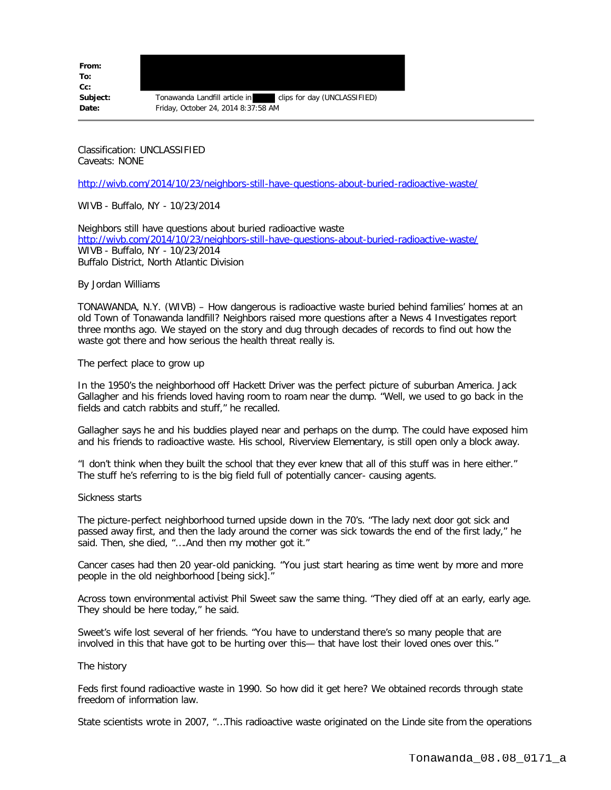**From: To: Cc:**

**Subject:** Tonawanda Landfill article in clips for day (UNCLASSIFIED) **Date:** Friday, October 24, 2014 8:37:58 AM

Classification: UNCLASSIFIED Caveats: NONE

<http://wivb.com/2014/10/23/neighbors-still-have-questions-about-buried-radioactive-waste/>

WIVB - Buffalo, NY - 10/23/2014

Neighbors still have questions about buried radioactive waste <http://wivb.com/2014/10/23/neighbors-still-have-questions-about-buried-radioactive-waste/> WIVB - Buffalo, NY - 10/23/2014 Buffalo District, North Atlantic Division

By Jordan Williams

TONAWANDA, N.Y. (WIVB) – How dangerous is radioactive waste buried behind families' homes at an old Town of Tonawanda landfill? Neighbors raised more questions after a News 4 Investigates report three months ago. We stayed on the story and dug through decades of records to find out how the waste got there and how serious the health threat really is.

The perfect place to grow up

In the 1950's the neighborhood off Hackett Driver was the perfect picture of suburban America. Jack Gallagher and his friends loved having room to roam near the dump. "Well, we used to go back in the fields and catch rabbits and stuff," he recalled.

Gallagher says he and his buddies played near and perhaps on the dump. The could have exposed him and his friends to radioactive waste. His school, Riverview Elementary, is still open only a block away.

"I don't think when they built the school that they ever knew that all of this stuff was in here either." The stuff he's referring to is the big field full of potentially cancer- causing agents.

Sickness starts

The picture-perfect neighborhood turned upside down in the 70's. "The lady next door got sick and passed away first, and then the lady around the corner was sick towards the end of the first lady," he said. Then, she died, "….And then my mother got it."

Cancer cases had then 20 year-old panicking. "You just start hearing as time went by more and more people in the old neighborhood [being sick]."

Across town environmental activist Phil Sweet saw the same thing. "They died off at an early, early age. They should be here today," he said.

Sweet's wife lost several of her friends. "You have to understand there's so many people that are involved in this that have got to be hurting over this— that have lost their loved ones over this."

The history

Feds first found radioactive waste in 1990. So how did it get here? We obtained records through state freedom of information law.

State scientists wrote in 2007, "…This radioactive waste originated on the Linde site from the operations